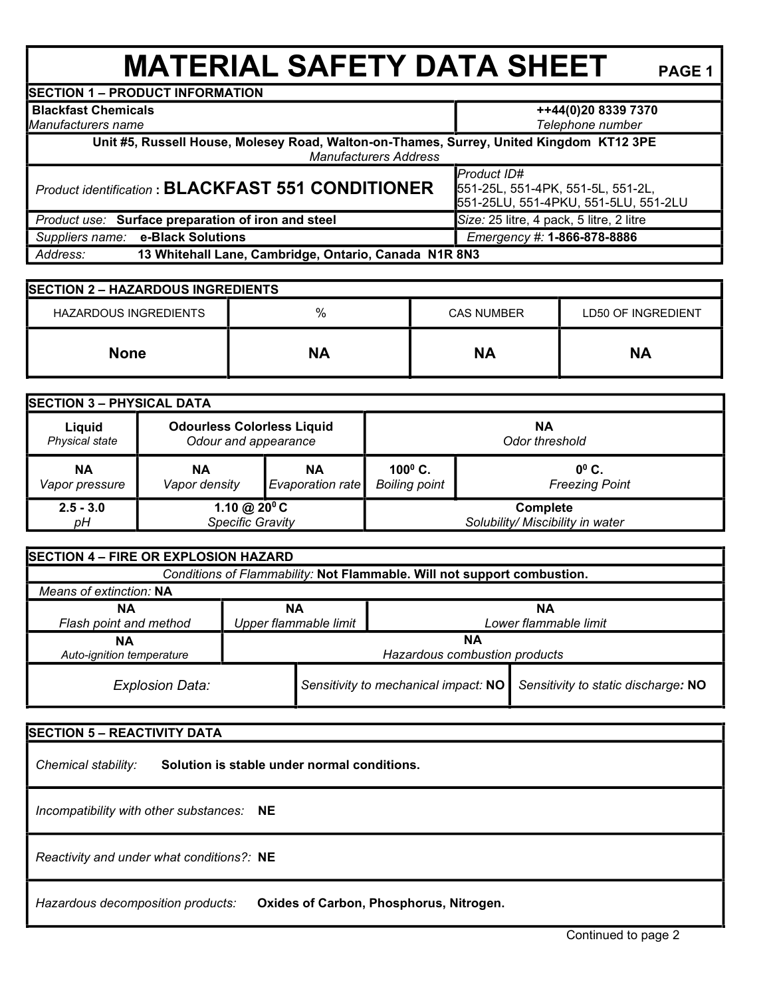**MATERIAL SAFETY DATA SHEET** PAGE 1 **SECTION 1 – PRODUCT INFORMATION Blackfast Chemicals**  *Manufacturers name* **++44(0)20 8339 7370**  *Telephone number* **Unit #5, Russell House, Molesey Road, Walton-on-Thames, Surrey, United Kingdom KT12 3PE**  *Manufacturers Address Product identification* **: BLACKFAST 551 CONDITIONER** *Product ID#* 551-25L, 551-4PK, 551-5L, 551-2L, 551-25LU, 551-4PKU, 551-5LU, 551-2LU *Product use:* **Surface preparation of iron and steel <b>Size:** 25 litre, 4 pack, 5 litre, 2 litre  *Suppliers name:* **e-Black Solutions** *Emergency #:* **1-866-878-8886**  *Address:* **13 Whitehall Lane, Cambridge, Ontario, Canada N1R 8N3 SECTION 2 – HAZARDOUS INGREDIENTS**  HAZARDOUS INGREDIENTS % CAS NUMBER LD50 OF INGREDIENT **None NA NA NA SECTION 3 – PHYSICAL DATA Liquid** *Physical state* **Odourless Colorless Liquid** *Odour and appearance* **NA** *Odor threshold* **NA** *Vapor pressure* **NA** *Vapor density* **NA** *Evaporation rate* **100<sup>0</sup> C.**  *Boiling point* **0 0 C.**  *Freezing Point* **2.5 - 3.0**  *pH* **1.10 @ 20<sup>0</sup>C** *Specific Gravity* **Complete**  *Solubility/ Miscibility in water* **SECTION 4 – FIRE OR EXPLOSION HAZARD** *Conditions of Flammability:* **Not Flammable. Will not support combustion.**  *Means of extinction:* **NA NA** *Flash point and method* **NA** *Upper flammable limit* **NA** *Lower flammable limit* **NA**  *Auto-ignition temperature* **NA** *Hazardous combustion products Explosion Data: Sensitivity to mechanical impact:* **NO** *Sensitivity to static discharge:* **NO SECTION 5 – REACTIVITY DATA**  *Chemical stability:* **Solution is stable under normal conditions.** 

 *Incompatibility with other substances:* **NE** 

 *Reactivity and under what conditions?:* **NE**

 *Hazardous decomposition products:* **Oxides of Carbon, Phosphorus, Nitrogen.**